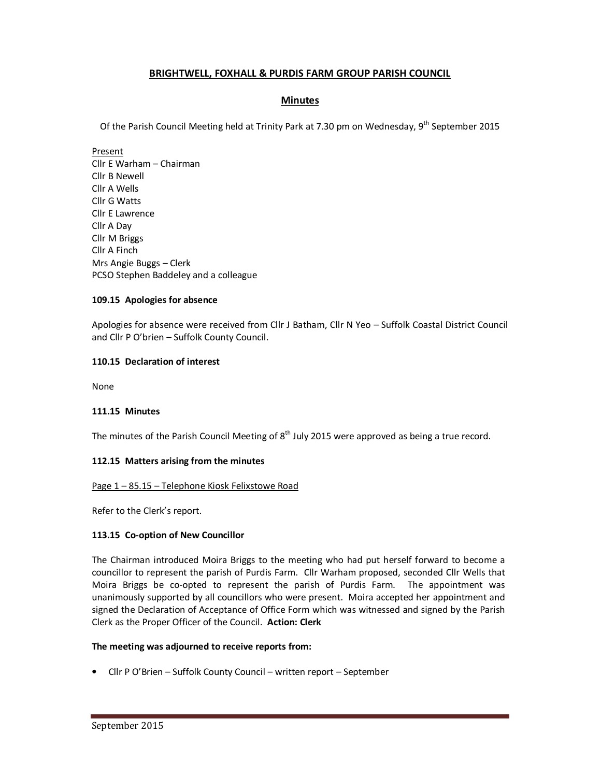# **BRIGHTWELL, FOXHALL & PURDIS FARM GROUP PARISH COUNCIL**

# **Minutes**

Of the Parish Council Meeting held at Trinity Park at 7.30 pm on Wednesday, 9<sup>th</sup> September 2015

Present Cllr E Warham – Chairman Cllr B Newell Cllr A Wells Cllr G Watts Cllr E Lawrence Cllr A Day Cllr M Briggs Cllr A Finch Mrs Angie Buggs – Clerk PCSO Stephen Baddeley and a colleague

# **109.15 Apologies for absence**

Apologies for absence were received from Cllr J Batham, Cllr N Yeo – Suffolk Coastal District Council and Cllr P O'brien – Suffolk County Council.

## **110.15 Declaration of interest**

None

### **111.15 Minutes**

The minutes of the Parish Council Meeting of  $8<sup>th</sup>$  July 2015 were approved as being a true record.

### **112.15 Matters arising from the minutes**

### Page 1 – 85.15 – Telephone Kiosk Felixstowe Road

Refer to the Clerk's report.

# **113.15 Co-option of New Councillor**

The Chairman introduced Moira Briggs to the meeting who had put herself forward to become a councillor to represent the parish of Purdis Farm. Cllr Warham proposed, seconded Cllr Wells that Moira Briggs be co-opted to represent the parish of Purdis Farm. The appointment was unanimously supported by all councillors who were present. Moira accepted her appointment and signed the Declaration of Acceptance of Office Form which was witnessed and signed by the Parish Clerk as the Proper Officer of the Council. **Action: Clerk** 

### **The meeting was adjourned to receive reports from:**

• Cllr P O'Brien – Suffolk County Council – written report – September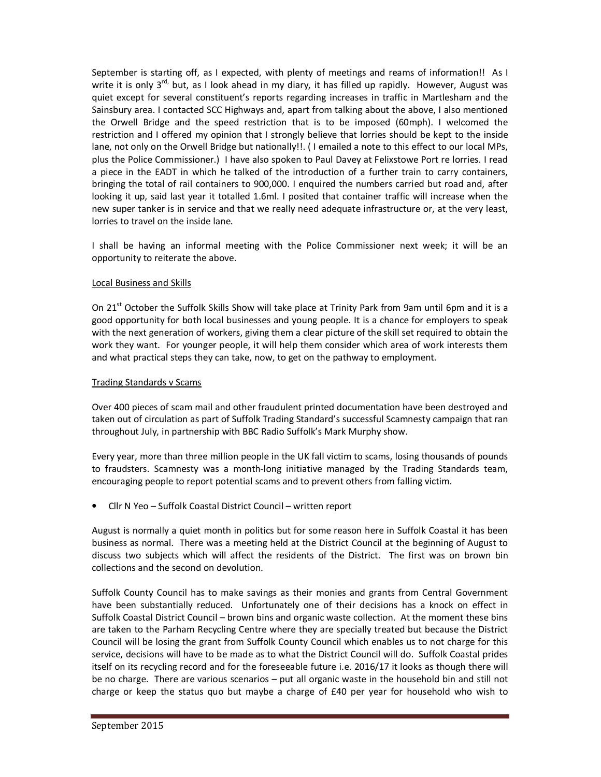September is starting off, as I expected, with plenty of meetings and reams of information!! As I write it is only 3<sup>rd,</sup> but, as I look ahead in my diary, it has filled up rapidly. However, August was quiet except for several constituent's reports regarding increases in traffic in Martlesham and the Sainsbury area. I contacted SCC Highways and, apart from talking about the above, I also mentioned the Orwell Bridge and the speed restriction that is to be imposed (60mph). I welcomed the restriction and I offered my opinion that I strongly believe that lorries should be kept to the inside lane, not only on the Orwell Bridge but nationally!!. ( I emailed a note to this effect to our local MPs, plus the Police Commissioner.) I have also spoken to Paul Davey at Felixstowe Port re lorries. I read a piece in the EADT in which he talked of the introduction of a further train to carry containers, bringing the total of rail containers to 900,000. I enquired the numbers carried but road and, after looking it up, said last year it totalled 1.6ml. I posited that container traffic will increase when the new super tanker is in service and that we really need adequate infrastructure or, at the very least, lorries to travel on the inside lane.

I shall be having an informal meeting with the Police Commissioner next week; it will be an opportunity to reiterate the above.

### Local Business and Skills

On 21<sup>st</sup> October the Suffolk Skills Show will take place at Trinity Park from 9am until 6pm and it is a good opportunity for both local businesses and young people. It is a chance for employers to speak with the next generation of workers, giving them a clear picture of the skill set required to obtain the work they want. For younger people, it will help them consider which area of work interests them and what practical steps they can take, now, to get on the pathway to employment.

## Trading Standards v Scams

Over 400 pieces of scam mail and other fraudulent printed documentation have been destroyed and taken out of circulation as part of Suffolk Trading Standard's successful Scamnesty campaign that ran throughout July, in partnership with BBC Radio Suffolk's Mark Murphy show.

Every year, more than three million people in the UK fall victim to scams, losing thousands of pounds to fraudsters. Scamnesty was a month-long initiative managed by the Trading Standards team, encouraging people to report potential scams and to prevent others from falling victim.

• Cllr N Yeo – Suffolk Coastal District Council – written report

August is normally a quiet month in politics but for some reason here in Suffolk Coastal it has been business as normal. There was a meeting held at the District Council at the beginning of August to discuss two subjects which will affect the residents of the District. The first was on brown bin collections and the second on devolution.

Suffolk County Council has to make savings as their monies and grants from Central Government have been substantially reduced. Unfortunately one of their decisions has a knock on effect in Suffolk Coastal District Council – brown bins and organic waste collection. At the moment these bins are taken to the Parham Recycling Centre where they are specially treated but because the District Council will be losing the grant from Suffolk County Council which enables us to not charge for this service, decisions will have to be made as to what the District Council will do. Suffolk Coastal prides itself on its recycling record and for the foreseeable future i.e. 2016/17 it looks as though there will be no charge. There are various scenarios – put all organic waste in the household bin and still not charge or keep the status quo but maybe a charge of £40 per year for household who wish to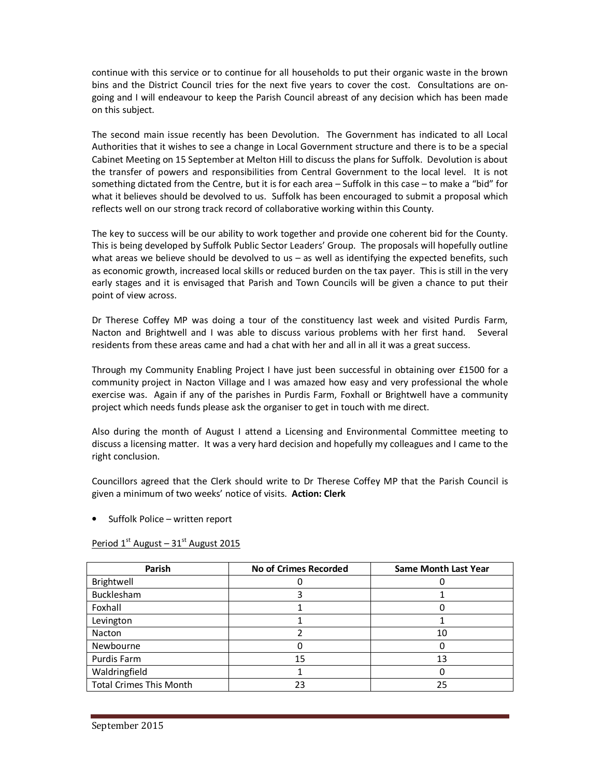continue with this service or to continue for all households to put their organic waste in the brown bins and the District Council tries for the next five years to cover the cost. Consultations are ongoing and I will endeavour to keep the Parish Council abreast of any decision which has been made on this subject.

The second main issue recently has been Devolution. The Government has indicated to all Local Authorities that it wishes to see a change in Local Government structure and there is to be a special Cabinet Meeting on 15 September at Melton Hill to discuss the plans for Suffolk. Devolution is about the transfer of powers and responsibilities from Central Government to the local level. It is not something dictated from the Centre, but it is for each area – Suffolk in this case – to make a "bid" for what it believes should be devolved to us. Suffolk has been encouraged to submit a proposal which reflects well on our strong track record of collaborative working within this County.

The key to success will be our ability to work together and provide one coherent bid for the County. This is being developed by Suffolk Public Sector Leaders' Group. The proposals will hopefully outline what areas we believe should be devolved to us - as well as identifying the expected benefits, such as economic growth, increased local skills or reduced burden on the tax payer. This is still in the very early stages and it is envisaged that Parish and Town Councils will be given a chance to put their point of view across.

Dr Therese Coffey MP was doing a tour of the constituency last week and visited Purdis Farm, Nacton and Brightwell and I was able to discuss various problems with her first hand. Several residents from these areas came and had a chat with her and all in all it was a great success.

Through my Community Enabling Project I have just been successful in obtaining over £1500 for a community project in Nacton Village and I was amazed how easy and very professional the whole exercise was. Again if any of the parishes in Purdis Farm, Foxhall or Brightwell have a community project which needs funds please ask the organiser to get in touch with me direct.

Also during the month of August I attend a Licensing and Environmental Committee meeting to discuss a licensing matter. It was a very hard decision and hopefully my colleagues and I came to the right conclusion.

Councillors agreed that the Clerk should write to Dr Therese Coffey MP that the Parish Council is given a minimum of two weeks' notice of visits. **Action: Clerk** 

• Suffolk Police – written report

| Parish                         | <b>No of Crimes Recorded</b> | <b>Same Month Last Year</b> |
|--------------------------------|------------------------------|-----------------------------|
| Brightwell                     |                              |                             |
| Bucklesham                     |                              |                             |
| Foxhall                        |                              |                             |
| Levington                      |                              |                             |
| Nacton                         |                              | 10                          |
| Newbourne                      |                              |                             |
| Purdis Farm                    | 15                           | 13                          |
| Waldringfield                  |                              |                             |
| <b>Total Crimes This Month</b> | 23                           | 25                          |

Period  $1<sup>st</sup>$  August –  $31<sup>st</sup>$  August 2015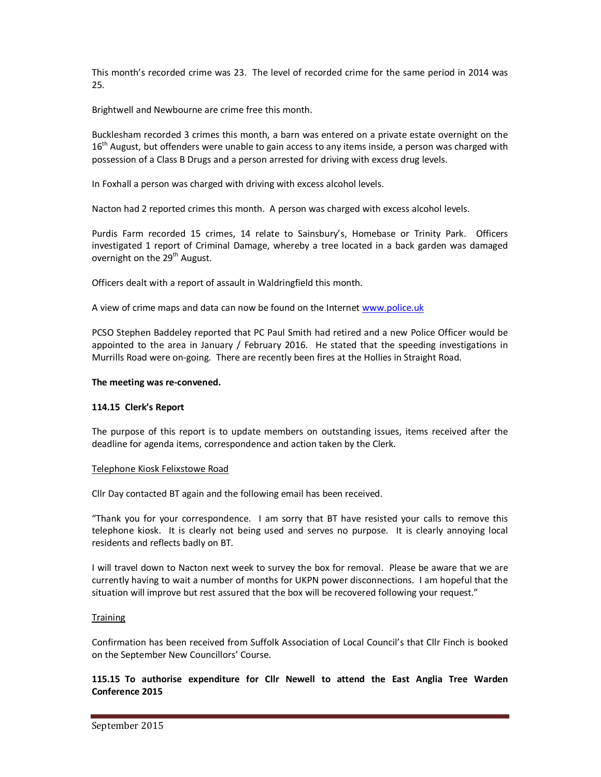This month's recorded crime was 23. The level of recorded crime for the same period in 2014 was 25.

Brightwell and Newbourne are crime free this month.

Bucklesham recorded 3 crimes this month, a barn was entered on a private estate overnight on the  $16<sup>th</sup>$  August, but offenders were unable to gain access to any items inside, a person was charged with possession of a Class B Drugs and a person arrested for driving with excess drug levels.

In Foxhall a person was charged with driving with excess alcohol levels.

Nacton had 2 reported crimes this month. A person was charged with excess alcohol levels.

Purdis Farm recorded 15 crimes, 14 relate to Sainsbury's, Homebase or Trinity Park. Officers investigated 1 report of Criminal Damage, whereby a tree located in a back garden was damaged overnight on the 29<sup>th</sup> August.

Officers dealt with a report of assault in Waldringfield this month.

A view of crime maps and data can now be found on the Internet www.police.uk

PCSO Stephen Baddeley reported that PC Paul Smith had retired and a new Police Officer would be appointed to the area in January / February 2016. He stated that the speeding investigations in Murrills Road were on-going. There are recently been fires at the Hollies in Straight Road.

### **The meeting was re-convened.**

### **114.15 Clerk's Report**

The purpose of this report is to update members on outstanding issues, items received after the deadline for agenda items, correspondence and action taken by the Clerk.

### Telephone Kiosk Felixstowe Road

Cllr Day contacted BT again and the following email has been received.

"Thank you for your correspondence. I am sorry that BT have resisted your calls to remove this telephone kiosk. It is clearly not being used and serves no purpose. It is clearly annoying local residents and reflects badly on BT.

I will travel down to Nacton next week to survey the box for removal. Please be aware that we are currently having to wait a number of months for UKPN power disconnections. I am hopeful that the situation will improve but rest assured that the box will be recovered following your request."

### **Training**

Confirmation has been received from Suffolk Association of Local Council's that Cllr Finch is booked on the September New Councillors' Course.

**115.15 To authorise expenditure for Cllr Newell to attend the East Anglia Tree Warden Conference 2015**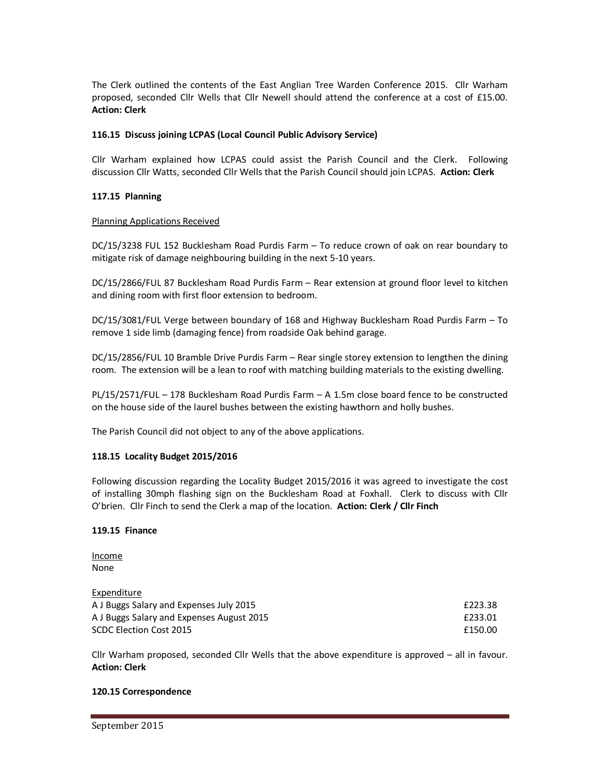The Clerk outlined the contents of the East Anglian Tree Warden Conference 2015. Cllr Warham proposed, seconded Cllr Wells that Cllr Newell should attend the conference at a cost of £15.00. **Action: Clerk** 

## **116.15 Discuss joining LCPAS (Local Council Public Advisory Service)**

Cllr Warham explained how LCPAS could assist the Parish Council and the Clerk. Following discussion Cllr Watts, seconded Cllr Wells that the Parish Council should join LCPAS. **Action: Clerk** 

### **117.15 Planning**

### Planning Applications Received

DC/15/3238 FUL 152 Bucklesham Road Purdis Farm – To reduce crown of oak on rear boundary to mitigate risk of damage neighbouring building in the next 5-10 years.

DC/15/2866/FUL 87 Bucklesham Road Purdis Farm – Rear extension at ground floor level to kitchen and dining room with first floor extension to bedroom.

DC/15/3081/FUL Verge between boundary of 168 and Highway Bucklesham Road Purdis Farm – To remove 1 side limb (damaging fence) from roadside Oak behind garage.

DC/15/2856/FUL 10 Bramble Drive Purdis Farm – Rear single storey extension to lengthen the dining room. The extension will be a lean to roof with matching building materials to the existing dwelling.

PL/15/2571/FUL – 178 Bucklesham Road Purdis Farm – A 1.5m close board fence to be constructed on the house side of the laurel bushes between the existing hawthorn and holly bushes.

The Parish Council did not object to any of the above applications.

### **118.15 Locality Budget 2015/2016**

Following discussion regarding the Locality Budget 2015/2016 it was agreed to investigate the cost of installing 30mph flashing sign on the Bucklesham Road at Foxhall. Clerk to discuss with Cllr O'brien. Cllr Finch to send the Clerk a map of the location. **Action: Clerk / Cllr Finch**

#### **119.15 Finance**

| Income |
|--------|
| None   |

### Expenditure

| __________                                |         |
|-------------------------------------------|---------|
| A J Buggs Salary and Expenses July 2015   | £223.38 |
| A J Buggs Salary and Expenses August 2015 | £233.01 |
| SCDC Election Cost 2015                   | £150.00 |

Cllr Warham proposed, seconded Cllr Wells that the above expenditure is approved – all in favour. **Action: Clerk** 

#### **120.15 Correspondence**